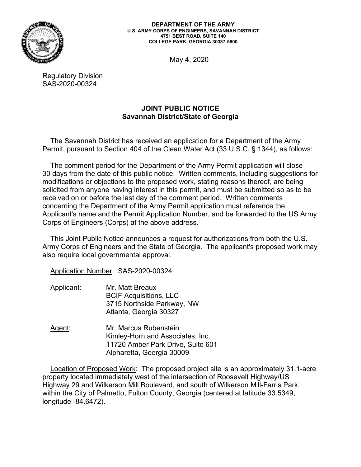

**DEPARTMENT OF THE ARMY U.S. ARMY CORPS OF ENGINEERS, SAVANNAH DISTRICT 4751 BEST ROAD, SUITE 140 COLLEGE PARK, GEORGIA 30337-5600** 

May 4, 2020

Regulatory Division SAS-2020-00324

## **JOINT PUBLIC NOTICE Savannah District/State of Georgia**

The Savannah District has received an application for a Department of the Army Permit, pursuant to Section 404 of the Clean Water Act (33 U.S.C. § 1344), as follows:

 30 days from the date of this public notice. Written comments, including suggestions for modifications or objections to the proposed work, stating reasons thereof, are being The comment period for the Department of the Army Permit application will close solicited from anyone having interest in this permit, and must be submitted so as to be received on or before the last day of the comment period. Written comments concerning the Department of the Army Permit application must reference the Applicant's name and the Permit Application Number, and be forwarded to the US Army Corps of Engineers (Corps) at the above address.

 Army Corps of Engineers and the State of Georgia. The applicant's proposed work may This Joint Public Notice announces a request for authorizations from both the U.S. also require local governmental approval.

Application Number: SAS-2020-00324

- Applicant: Mr. Matt Breaux BCIF Acquisitions, LLC 3715 Northside Parkway, NW Atlanta, Georgia 30327
- Agent: Mr. Marcus Rubenstein Kimley-Horn and Associates, Inc. 11720 Amber Park Drive, Suite 601 Alpharetta, Georgia 30009

Location of Proposed Work: The proposed project site is an approximately 31.1-acre property located immediately west of the intersection of Roosevelt Highway/US Highway 29 and Wilkerson Mill Boulevard, and south of Wilkerson Mill-Farris Park, within the City of Palmetto, Fulton County, Georgia (centered at latitude 33.5349, longitude -84.6472).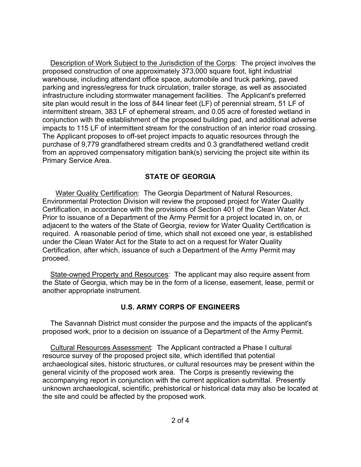site plan would result in the loss of 844 linear feet (LF) of perennial stream, 51 LF of conjunction with the establishment of the proposed building pad, and additional adverse The Applicant proposes to off-set project impacts to aquatic resources through the Description of Work Subject to the Jurisdiction of the Corps: The project involves the proposed construction of one approximately 373,000 square foot, light industrial warehouse, including attendant office space, automobile and truck parking, paved parking and ingress/egress for truck circulation, trailer storage, as well as associated infrastructure including stormwater management facilities. The Applicant's preferred intermittent stream, 383 LF of ephemeral stream, and 0.05 acre of forested wetland in impacts to 115 LF of intermittent stream for the construction of an interior road crossing. purchase of 9,779 grandfathered stream credits and 0.3 grandfathered wetland credit from an approved compensatory mitigation bank(s) servicing the project site within its Primary Service Area.

## **STATE OF GEORGIA**

 Certification, in accordance with the provisions of Section 401 of the Clean Water Act. Prior to issuance of a Department of the Army Permit for a project located in, on, or under the Clean Water Act for the State to act on a request for Water Quality Certification, after which, issuance of such a Department of the Army Permit may proceed. Water Quality Certification: The Georgia Department of Natural Resources, Environmental Protection Division will review the proposed project for Water Quality adjacent to the waters of the State of Georgia, review for Water Quality Certification is required. A reasonable period of time, which shall not exceed one year, is established

State-owned Property and Resources: The applicant may also require assent from the State of Georgia, which may be in the form of a license, easement, lease, permit or another appropriate instrument.

## **U.S. ARMY CORPS OF ENGINEERS**

 proposed work, prior to a decision on issuance of a Department of the Army Permit. The Savannah District must consider the purpose and the impacts of the applicant's

 archaeological sites, historic structures, or cultural resources may be present within the unknown archaeological, scientific, prehistorical or historical data may also be located at Cultural Resources Assessment: The Applicant contracted a Phase I cultural resource survey of the proposed project site, which identified that potential general vicinity of the proposed work area. The Corps is presently reviewing the accompanying report in conjunction with the current application submittal. Presently the site and could be affected by the proposed work.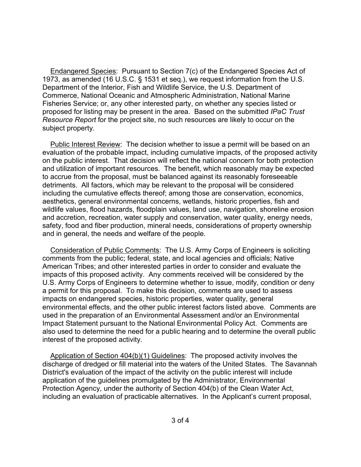proposed for listing may be present in the area. Based on the submitted *IPaC Trust Resource Report* for the project site, no such resources are likely to occur on the subject property. Endangered Species: Pursuant to Section 7(c) of the Endangered Species Act of 1973, as amended (16 U.S.C. § 1531 et seq.), we request information from the U.S. Department of the Interior, Fish and Wildlife Service, the U.S. Department of Commerce, National Oceanic and Atmospheric Administration, National Marine Fisheries Service; or, any other interested party, on whether any species listed or

 on the public interest. That decision will reflect the national concern for both protection safety, food and fiber production, mineral needs, considerations of property ownership Public Interest Review: The decision whether to issue a permit will be based on an evaluation of the probable impact, including cumulative impacts, of the proposed activity and utilization of important resources. The benefit, which reasonably may be expected to accrue from the proposal, must be balanced against its reasonably foreseeable detriments. All factors, which may be relevant to the proposal will be considered including the cumulative effects thereof; among those are conservation, economics, aesthetics, general environmental concerns, wetlands, historic properties, fish and wildlife values, flood hazards, floodplain values, land use, navigation, shoreline erosion and accretion, recreation, water supply and conservation, water quality, energy needs, and in general, the needs and welfare of the people.

 American Tribes; and other interested parties in order to consider and evaluate the Consideration of Public Comments: The U.S. Army Corps of Engineers is soliciting comments from the public; federal, state, and local agencies and officials; Native impacts of this proposed activity. Any comments received will be considered by the U.S. Army Corps of Engineers to determine whether to issue, modify, condition or deny a permit for this proposal. To make this decision, comments are used to assess impacts on endangered species, historic properties, water quality, general environmental effects, and the other public interest factors listed above. Comments are used in the preparation of an Environmental Assessment and/or an Environmental Impact Statement pursuant to the National Environmental Policy Act. Comments are also used to determine the need for a public hearing and to determine the overall public interest of the proposed activity.

 including an evaluation of practicable alternatives. In the Applicant's current proposal, Application of Section 404(b)(1) Guidelines: The proposed activity involves the discharge of dredged or fill material into the waters of the United States. The Savannah District's evaluation of the impact of the activity on the public interest will include application of the guidelines promulgated by the Administrator, Environmental Protection Agency, under the authority of Section 404(b) of the Clean Water Act,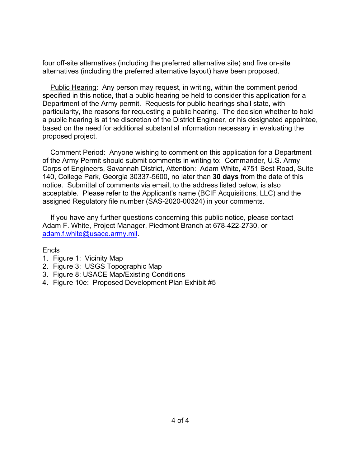four off-site alternatives (including the preferred alternative site) and five on-site alternatives (including the preferred alternative layout) have been proposed.

Public Hearing: Any person may request, in writing, within the comment period specified in this notice, that a public hearing be held to consider this application for a Department of the Army permit. Requests for public hearings shall state, with particularity, the reasons for requesting a public hearing. The decision whether to hold a public hearing is at the discretion of the District Engineer, or his designated appointee, based on the need for additional substantial information necessary in evaluating the proposed project.

 notice. Submittal of comments via email, to the address listed below, is also acceptable. Please refer to the Applicant's name (BCIF Acquisitions, LLC) and the Comment Period: Anyone wishing to comment on this application for a Department of the Army Permit should submit comments in writing to: Commander, U.S. Army Corps of Engineers, Savannah District, Attention: Adam White, 4751 Best Road, Suite 140, College Park, Georgia 30337-5600, no later than **30 days** from the date of this assigned Regulatory file number (SAS-2020-00324) in your comments.

If you have any further questions concerning this public notice, please contact Adam F. White, Project Manager, Piedmont Branch at 678-422-2730, or adam.f.white@usace.army.mil.

## Encls

- 1. Figure 1: Vicinity Map
- 2. Figure 3: USGS Topographic Map
- 3. Figure 8: USACE Map/Existing Conditions
- 4. Figure 10e: Proposed Development Plan Exhibit #5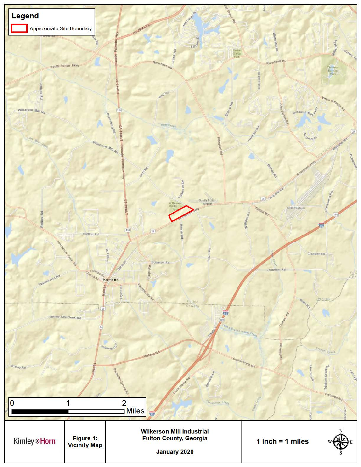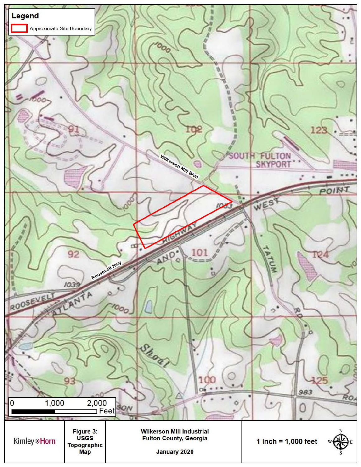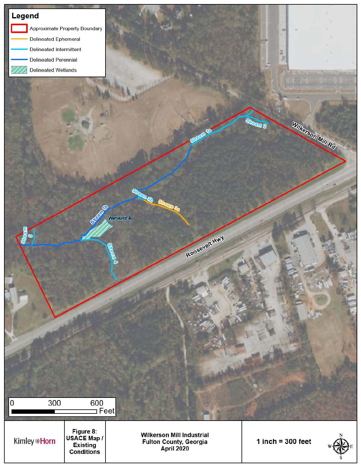